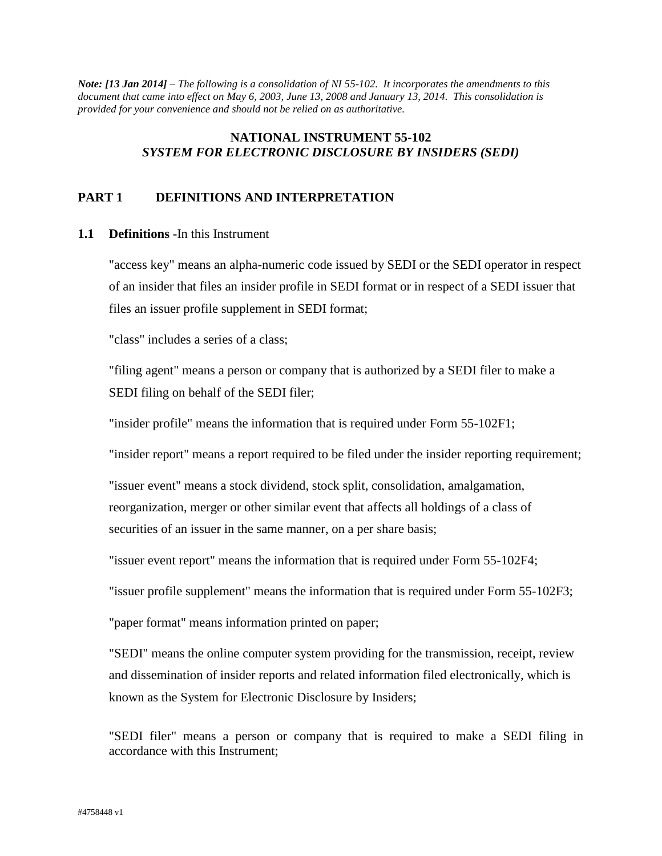*Note: [13 Jan 2014] – The following is a consolidation of NI 55-102. It incorporates the amendments to this document that came into effect on May 6, 2003, June 13, 2008 and January 13, 2014. This consolidation is provided for your convenience and should not be relied on as authoritative.*

## **NATIONAL INSTRUMENT 55-102** *SYSTEM FOR ELECTRONIC DISCLOSURE BY INSIDERS (SEDI)*

### **PART 1 DEFINITIONS AND INTERPRETATION**

### **1.1 Definitions -**In this Instrument

"access key" means an alpha-numeric code issued by SEDI or the SEDI operator in respect of an insider that files an insider profile in SEDI format or in respect of a SEDI issuer that files an issuer profile supplement in SEDI format;

"class" includes a series of a class;

"filing agent" means a person or company that is authorized by a SEDI filer to make a SEDI filing on behalf of the SEDI filer;

"insider profile" means the information that is required under Form 55-102F1;

"insider report" means a report required to be filed under the insider reporting requirement;

"issuer event" means a stock dividend, stock split, consolidation, amalgamation, reorganization, merger or other similar event that affects all holdings of a class of securities of an issuer in the same manner, on a per share basis;

"issuer event report" means the information that is required under Form 55-102F4;

"issuer profile supplement" means the information that is required under Form 55-102F3;

"paper format" means information printed on paper;

"SEDI" means the online computer system providing for the transmission, receipt, review and dissemination of insider reports and related information filed electronically, which is known as the System for Electronic Disclosure by Insiders;

"SEDI filer" means a person or company that is required to make a SEDI filing in accordance with this Instrument;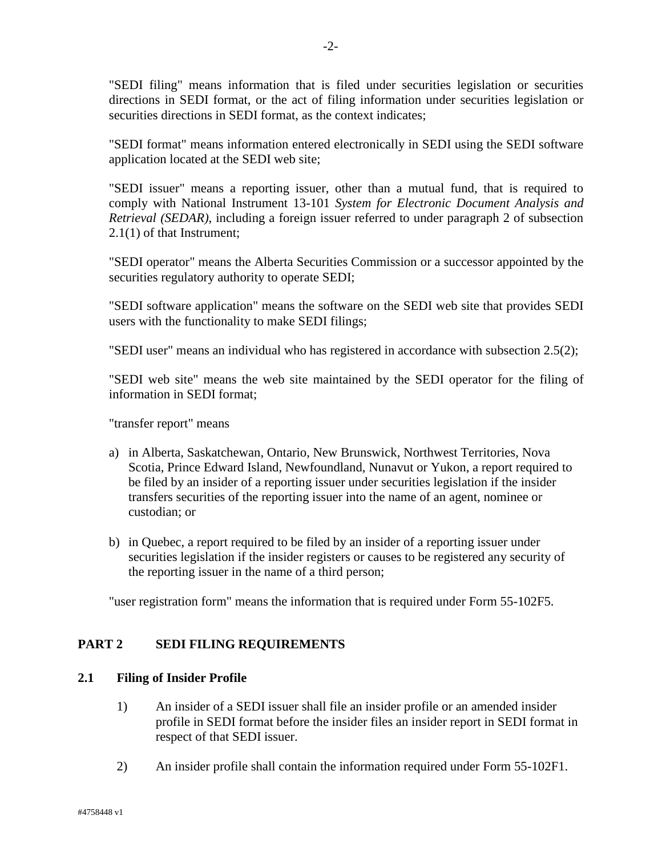"SEDI filing" means information that is filed under securities legislation or securities directions in SEDI format, or the act of filing information under securities legislation or securities directions in SEDI format, as the context indicates;

"SEDI format" means information entered electronically in SEDI using the SEDI software application located at the SEDI web site;

"SEDI issuer" means a reporting issuer, other than a mutual fund, that is required to comply with National Instrument 13-101 *System for Electronic Document Analysis and Retrieval (SEDAR)*, including a foreign issuer referred to under paragraph 2 of subsection 2.1(1) of that Instrument;

"SEDI operator" means the Alberta Securities Commission or a successor appointed by the securities regulatory authority to operate SEDI;

"SEDI software application" means the software on the SEDI web site that provides SEDI users with the functionality to make SEDI filings;

"SEDI user" means an individual who has registered in accordance with subsection 2.5(2);

"SEDI web site" means the web site maintained by the SEDI operator for the filing of information in SEDI format;

"transfer report" means

- a) in Alberta, Saskatchewan, Ontario, New Brunswick, Northwest Territories, Nova Scotia, Prince Edward Island, Newfoundland, Nunavut or Yukon, a report required to be filed by an insider of a reporting issuer under securities legislation if the insider transfers securities of the reporting issuer into the name of an agent, nominee or custodian; or
- b) in Quebec, a report required to be filed by an insider of a reporting issuer under securities legislation if the insider registers or causes to be registered any security of the reporting issuer in the name of a third person;

"user registration form" means the information that is required under Form 55-102F5.

# **PART 2 SEDI FILING REQUIREMENTS**

### **2.1 Filing of Insider Profile**

- 1) An insider of a SEDI issuer shall file an insider profile or an amended insider profile in SEDI format before the insider files an insider report in SEDI format in respect of that SEDI issuer.
- 2) An insider profile shall contain the information required under Form 55-102F1.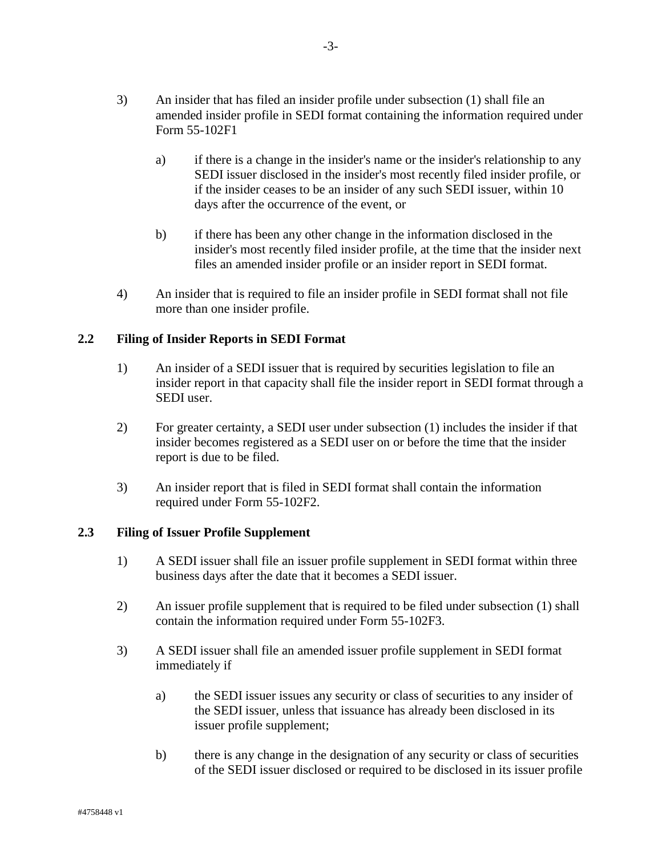- a) if there is a change in the insider's name or the insider's relationship to any SEDI issuer disclosed in the insider's most recently filed insider profile, or if the insider ceases to be an insider of any such SEDI issuer, within 10 days after the occurrence of the event, or
- b) if there has been any other change in the information disclosed in the insider's most recently filed insider profile, at the time that the insider next files an amended insider profile or an insider report in SEDI format.
- 4) An insider that is required to file an insider profile in SEDI format shall not file more than one insider profile.

# **2.2 Filing of Insider Reports in SEDI Format**

- 1) An insider of a SEDI issuer that is required by securities legislation to file an insider report in that capacity shall file the insider report in SEDI format through a SEDI user.
- 2) For greater certainty, a SEDI user under subsection (1) includes the insider if that insider becomes registered as a SEDI user on or before the time that the insider report is due to be filed.
- 3) An insider report that is filed in SEDI format shall contain the information required under Form 55-102F2.

# **2.3 Filing of Issuer Profile Supplement**

- 1) A SEDI issuer shall file an issuer profile supplement in SEDI format within three business days after the date that it becomes a SEDI issuer.
- 2) An issuer profile supplement that is required to be filed under subsection (1) shall contain the information required under Form 55-102F3.
- 3) A SEDI issuer shall file an amended issuer profile supplement in SEDI format immediately if
	- a) the SEDI issuer issues any security or class of securities to any insider of the SEDI issuer, unless that issuance has already been disclosed in its issuer profile supplement;
	- b) there is any change in the designation of any security or class of securities of the SEDI issuer disclosed or required to be disclosed in its issuer profile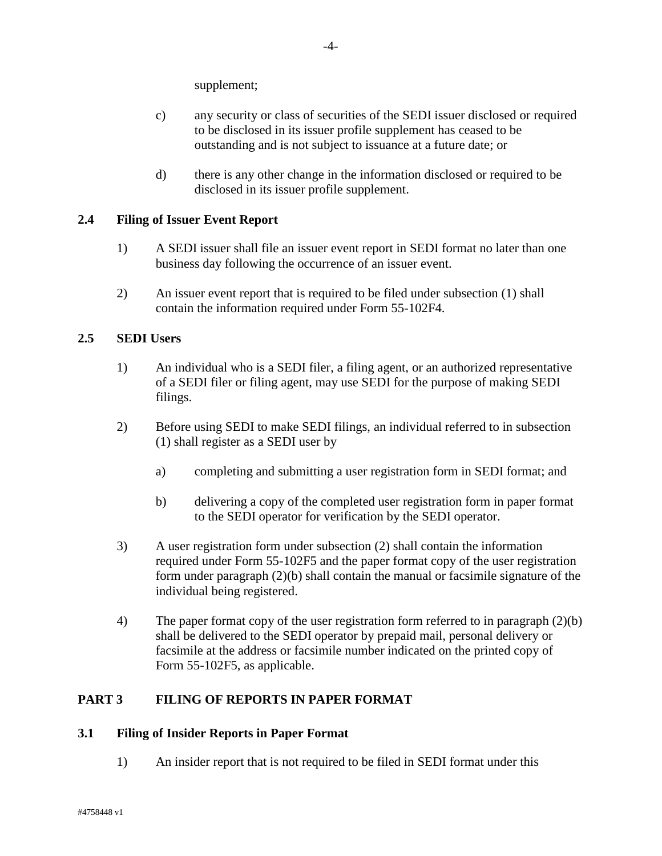supplement;

- c) any security or class of securities of the SEDI issuer disclosed or required to be disclosed in its issuer profile supplement has ceased to be outstanding and is not subject to issuance at a future date; or
- d) there is any other change in the information disclosed or required to be disclosed in its issuer profile supplement.

## **2.4 Filing of Issuer Event Report**

- 1) A SEDI issuer shall file an issuer event report in SEDI format no later than one business day following the occurrence of an issuer event.
- 2) An issuer event report that is required to be filed under subsection (1) shall contain the information required under Form 55-102F4.

## **2.5 SEDI Users**

- 1) An individual who is a SEDI filer, a filing agent, or an authorized representative of a SEDI filer or filing agent, may use SEDI for the purpose of making SEDI filings.
- 2) Before using SEDI to make SEDI filings, an individual referred to in subsection (1) shall register as a SEDI user by
	- a) completing and submitting a user registration form in SEDI format; and
	- b) delivering a copy of the completed user registration form in paper format to the SEDI operator for verification by the SEDI operator.
- 3) A user registration form under subsection (2) shall contain the information required under Form 55-102F5 and the paper format copy of the user registration form under paragraph (2)(b) shall contain the manual or facsimile signature of the individual being registered.
- 4) The paper format copy of the user registration form referred to in paragraph (2)(b) shall be delivered to the SEDI operator by prepaid mail, personal delivery or facsimile at the address or facsimile number indicated on the printed copy of Form 55-102F5, as applicable.

### **PART 3 FILING OF REPORTS IN PAPER FORMAT**

### **3.1 Filing of Insider Reports in Paper Format**

1) An insider report that is not required to be filed in SEDI format under this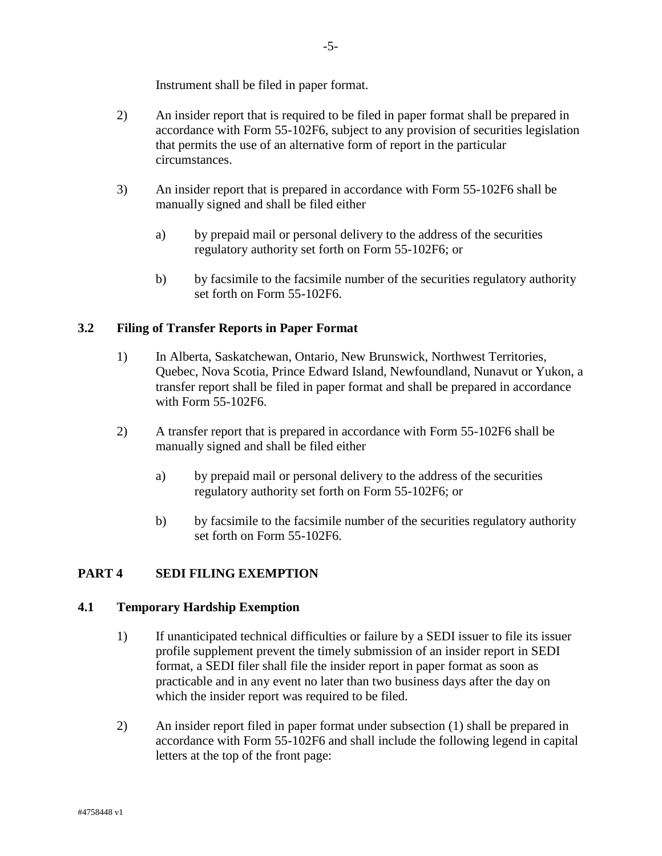Instrument shall be filed in paper format.

- 2) An insider report that is required to be filed in paper format shall be prepared in accordance with Form 55-102F6, subject to any provision of securities legislation that permits the use of an alternative form of report in the particular circumstances.
- 3) An insider report that is prepared in accordance with Form 55-102F6 shall be manually signed and shall be filed either
	- a) by prepaid mail or personal delivery to the address of the securities regulatory authority set forth on Form 55-102F6; or
	- b) by facsimile to the facsimile number of the securities regulatory authority set forth on Form 55-102F6.

### **3.2 Filing of Transfer Reports in Paper Format**

- 1) In Alberta, Saskatchewan, Ontario, New Brunswick, Northwest Territories, Quebec, Nova Scotia, Prince Edward Island, Newfoundland, Nunavut or Yukon, a transfer report shall be filed in paper format and shall be prepared in accordance with Form 55-102F6.
- 2) A transfer report that is prepared in accordance with Form 55-102F6 shall be manually signed and shall be filed either
	- a) by prepaid mail or personal delivery to the address of the securities regulatory authority set forth on Form 55-102F6; or
	- b) by facsimile to the facsimile number of the securities regulatory authority set forth on Form 55-102F6.

# **PART 4 SEDI FILING EXEMPTION**

### **4.1 Temporary Hardship Exemption**

- 1) If unanticipated technical difficulties or failure by a SEDI issuer to file its issuer profile supplement prevent the timely submission of an insider report in SEDI format, a SEDI filer shall file the insider report in paper format as soon as practicable and in any event no later than two business days after the day on which the insider report was required to be filed.
- 2) An insider report filed in paper format under subsection (1) shall be prepared in accordance with Form 55-102F6 and shall include the following legend in capital letters at the top of the front page: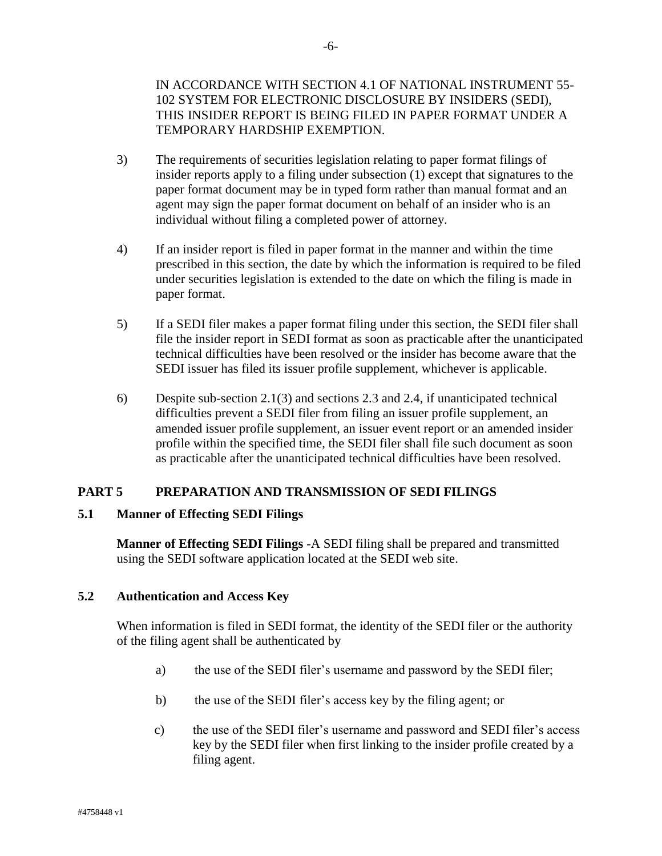IN ACCORDANCE WITH SECTION 4.1 OF NATIONAL INSTRUMENT 55- 102 SYSTEM FOR ELECTRONIC DISCLOSURE BY INSIDERS (SEDI), THIS INSIDER REPORT IS BEING FILED IN PAPER FORMAT UNDER A TEMPORARY HARDSHIP EXEMPTION.

- 3) The requirements of securities legislation relating to paper format filings of insider reports apply to a filing under subsection (1) except that signatures to the paper format document may be in typed form rather than manual format and an agent may sign the paper format document on behalf of an insider who is an individual without filing a completed power of attorney.
- 4) If an insider report is filed in paper format in the manner and within the time prescribed in this section, the date by which the information is required to be filed under securities legislation is extended to the date on which the filing is made in paper format.
- 5) If a SEDI filer makes a paper format filing under this section, the SEDI filer shall file the insider report in SEDI format as soon as practicable after the unanticipated technical difficulties have been resolved or the insider has become aware that the SEDI issuer has filed its issuer profile supplement, whichever is applicable.
- 6) Despite sub-section 2.1(3) and sections 2.3 and 2.4, if unanticipated technical difficulties prevent a SEDI filer from filing an issuer profile supplement, an amended issuer profile supplement, an issuer event report or an amended insider profile within the specified time, the SEDI filer shall file such document as soon as practicable after the unanticipated technical difficulties have been resolved.

# **PART 5 PREPARATION AND TRANSMISSION OF SEDI FILINGS**

### **5.1 Manner of Effecting SEDI Filings**

**Manner of Effecting SEDI Filings** -A SEDI filing shall be prepared and transmitted using the SEDI software application located at the SEDI web site.

### **5.2 Authentication and Access Key**

When information is filed in SEDI format, the identity of the SEDI filer or the authority of the filing agent shall be authenticated by

- a) the use of the SEDI filer's username and password by the SEDI filer;
- b) the use of the SEDI filer's access key by the filing agent; or
- c) the use of the SEDI filer's username and password and SEDI filer's access key by the SEDI filer when first linking to the insider profile created by a filing agent.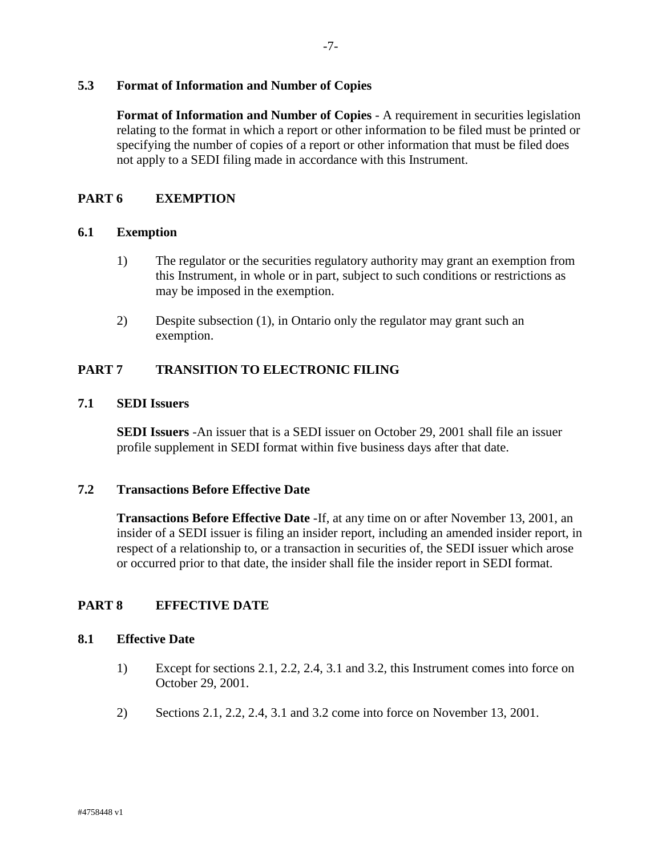### **5.3 Format of Information and Number of Copies**

**Format of Information and Number of Copies** - A requirement in securities legislation relating to the format in which a report or other information to be filed must be printed or specifying the number of copies of a report or other information that must be filed does not apply to a SEDI filing made in accordance with this Instrument.

### **PART 6 EXEMPTION**

#### **6.1 Exemption**

- 1) The regulator or the securities regulatory authority may grant an exemption from this Instrument, in whole or in part, subject to such conditions or restrictions as may be imposed in the exemption.
- 2) Despite subsection (1), in Ontario only the regulator may grant such an exemption.

## **PART 7 TRANSITION TO ELECTRONIC FILING**

#### **7.1 SEDI Issuers**

**SEDI Issuers** -An issuer that is a SEDI issuer on October 29, 2001 shall file an issuer profile supplement in SEDI format within five business days after that date.

### **7.2 Transactions Before Effective Date**

**Transactions Before Effective Date** -If, at any time on or after November 13, 2001, an insider of a SEDI issuer is filing an insider report, including an amended insider report, in respect of a relationship to, or a transaction in securities of, the SEDI issuer which arose or occurred prior to that date, the insider shall file the insider report in SEDI format.

### **PART 8 EFFECTIVE DATE**

#### **8.1 Effective Date**

- 1) Except for sections 2.1, 2.2, 2.4, 3.1 and 3.2, this Instrument comes into force on October 29, 2001.
- 2) Sections 2.1, 2.2, 2.4, 3.1 and 3.2 come into force on November 13, 2001.